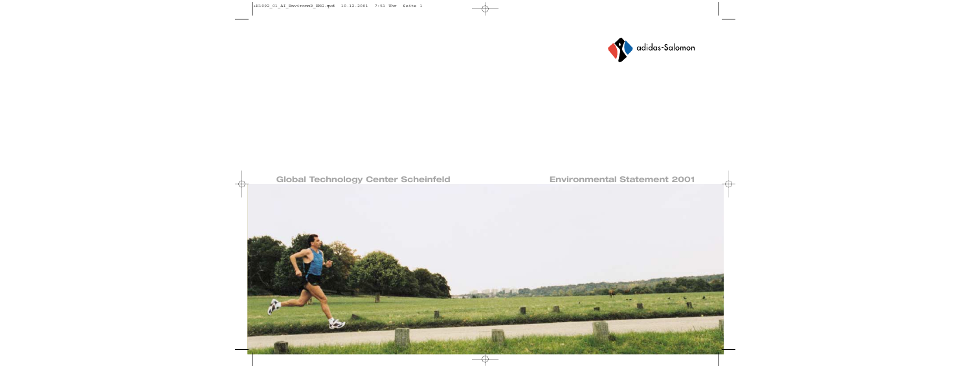

# **Global Technology Center Scheinfeld Environmental Statement 2001**

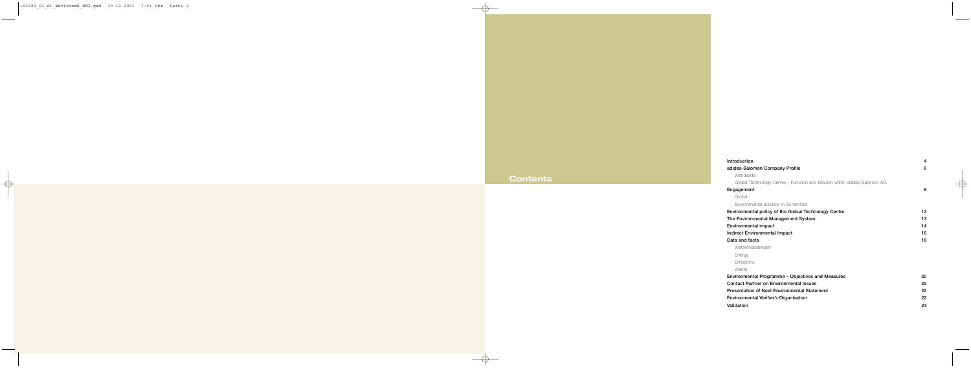# **Contents**

| Introduction                                                             | 4  |
|--------------------------------------------------------------------------|----|
| adidas-Salomon Company Profile                                           | 6  |
| <b>Worldwide</b>                                                         |    |
| Global Technology Centre – Function and Mission within adidas-Salomon AG |    |
| Engagement                                                               | 8  |
| Global                                                                   |    |
| Environmental activities in Scheinfeld                                   |    |
| Environmental policy of the Global Technology Centre                     | 12 |
| The Environmental Management System                                      | 13 |
| Environmental impact                                                     | 14 |
| Indirect Environmental Impact                                            | 16 |
| Data and facts                                                           | 18 |
| Water/Wastewater                                                         |    |
| Energy                                                                   |    |
| <b>Emissions</b>                                                         |    |
| Waste                                                                    |    |
| Environmental Programme – Objectives and Measures                        | 20 |
| <b>Contact Partner on Environmental Issues</b>                           | 22 |
| <b>Presentation of Next Environmental Statement</b>                      | 22 |
| Environmental Verifier's Organisation                                    | 22 |
| Validation                                                               | 23 |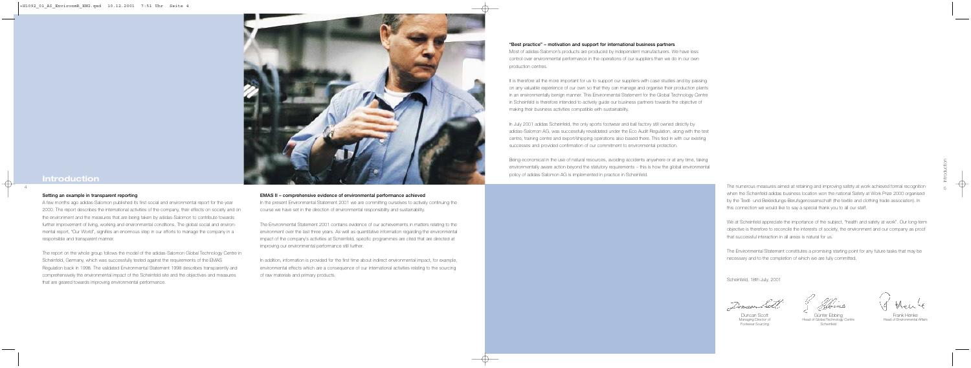The numerous measures aimed at retaining and improving safety at work achieved formal recognition when the Scheinfeld adidas business location won the national Safety at Work Prize 2000 organised by the Textil- und Bekleidungs-Berufsgenossenschaft (the textile and clothing trade association). In this connection we would like to say a special thank you to all our staff.

We at Scheinfeld appreciate the importance of the subject, "health and safety at work". Our long-term objective is therefore to reconcile the interests of society, the environment and our company as proof that successful interaction in all areas is natural for us.

The Environmental Statement constitutes a promising starting point for any future tasks that may be necessary and to the completion of which we are fully committed.

It is therefore all the more important for us to support our suppliers with case studies and by passing on any valuable experience of our own so that they can manage and organise their production plants in an environmentally benign manner. This Environmental Statement for the Global Technology Centre in Scheinfeld is therefore intended to actively guide our business partners towards the objective of making their business activities compatible with sustainability.

Scheinfeld, 18th July, 2001

Dencar ba

## "Best practice" – motivation and support for international business partners

In July 2001 adidas Scheinfeld, the only sports footwear and ball factory still owned directly by adidas-Salomon AG, was successfully revalidated under the Eco Audit Regulation, along with the test centre, training centre and export/shipping operations also based there. This tied in with our existing successes and provided confirmation of our commitment to environmental protection.

Most of adidas-Salomon's products are produced by independent manufacturers. We have less control over environmental performance in the operations of our suppliers than we do in our own production centres.

In addition, information is provided for the first time about indirect environmental impact, for example, environmental effects which are a consequence of our international activities relating to the sourcing of raw materials and primary products.

Being economical in the use of natural resources, avoiding accidents anywhere or at any time, taking environmentally aware action beyond the statutory requirements – this is how the global environmental policy of adidas-Salomon AG is implemented in practice in Scheinfeld.

EMAS II – comprehensive evidence of environmental performance achieved

In the present Environmental Statement 2001 we are committing ourselves to actively continuing the course we have set in the direction of environmental responsibility and sustainability.

The Environmental Statement 2001 contains evidence of our achievements in matters relating to the environment over the last three years. As well as quantitative information regarding the environmental impact of the company's activities at Scheinfeld, specific programmes are cited that are directed at improving our environmental performance still further.

#### Setting an example in transparent reporting

A few months ago adidas-Salomon published its first social and environmental report for the year 2000. The report describes the international activities of the company, their effects on society and on the environment and the measures that are being taken by adidas-Salomon to contribute towards further improvement of living, working and environmental conditions. The global social and environmental report, "Our World", signifies an enormous step in our efforts to manage the company in a responsible and transparent manner.

The report on the whole group follows the model of the adidas-Salomon Global Technology Centre in Scheinfeld, Germany, which was successfully tested against the requirements of the EMAS Regulation back in 1998. The validated Environmental Statement 1998 describes transparently and comprehensively the environmental impact of the Scheinfeld site and the objectives and measures that are geared towards improving environmental performance.



## **Introduction**

Duncan Scott Managing Director of Footwear Sourcing

Günter Ebbing Head of Global Technology Centre Scheinfeld

Frank Henke Head of Environmental Affairs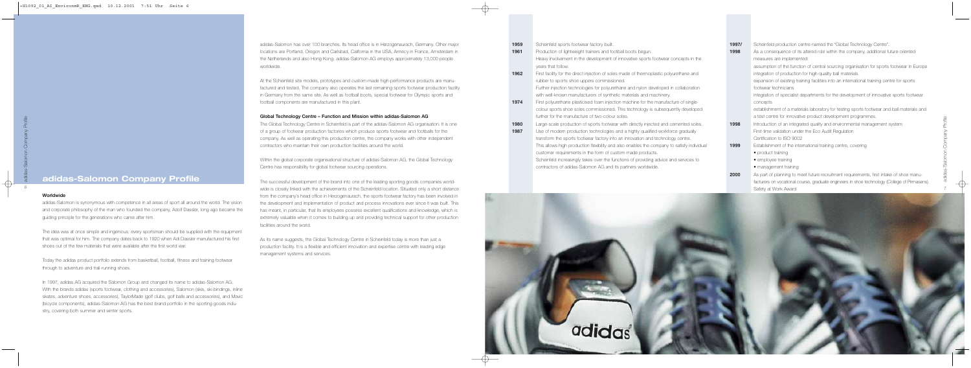Safety at Work Award

| 1959 | Scheinfeld sports footwear factory built.                                                  | 1997/ | Scheinfeld production centre named the "Global Technology Centre".                           |
|------|--------------------------------------------------------------------------------------------|-------|----------------------------------------------------------------------------------------------|
| 1961 | Production of lightweight trainers and football boots begun.                               | 1998  | As a consequence of its altered role within the company, additional future-oriented          |
|      | Heavy involvement in the development of innovative sports footwear concepts in the         |       | measures are implemented:                                                                    |
|      | years that follow.                                                                         |       | assumption of the function of central sourcing organisation for sports footwear in Europe    |
| 1962 | First facility for the direct injection of soles made of thermoplastic polyurethane and    |       | integration of production for high-quality ball materials                                    |
|      | rubber to sports shoe uppers commissioned.                                                 |       | expansion of existing training facilities into an international training centre for sports   |
|      | Further injection technologies for polyurethane and nylon developed in collaboration       |       | footwear technicians                                                                         |
|      | with well-known manufacturers of synthetic materials and machinery.                        |       | integration of specialist departments for the development of innovative sports footwear      |
| 1974 | First polyurethane plasticised foam injection machine for the manufacture of single-       |       | concepts                                                                                     |
|      | colour sports shoe soles commissioned. This technology is subsequently developed           |       | establishment of a materials laboratory for testing sports footwear and ball materials and   |
|      | further for the manufacture of two-colour soles.                                           |       | a test centre for innovative product development programmes.                                 |
| 1980 | Large-scale production of sports footwear with directly injected and cemented soles.       | 1998  | Introduction of an integrated quality and environmental management system                    |
| 1987 | Use of modem production technologies and a highly qualified workforce gradually            |       | First-time validation under the Eco Audit Regulation                                         |
|      | transform the sports footwear factory into an innovation and technology centre.            |       | Certification to ISO 9002                                                                    |
|      | This allows high production flexibility and also enables the company to satisfy individual | 1999  | Establishment of the international training centre, covering                                 |
|      | customer requirements in the form of custom-made products.                                 |       | • product training                                                                           |
|      | Scheinfeld increasingly takes over the functions of providing advice and services to       |       | • employee training                                                                          |
|      | contractors of adidas-Salomon AG and its partners worldwide.                               |       | • management training                                                                        |
|      |                                                                                            | 2000  | As part of planning to meet future recruitment requirements, first intake of shoe manu-      |
|      |                                                                                            |       | facturers on vocational course, graduate engineers in shoe technology (College of Pirmasens) |



adidas-Salomon has over 100 branches. Its head office is in Herzogenaurach, Germany. Other major locations are Portland, Oregon and Carlsbad, California in the USA, Annecy in France, Amsterdam in the Netherlands and also Hong Kong. adidas-Salomon AG employs approximately 13,000 people worldwide.

At the Scheinfeld site models, prototypes and custom-made high-performance products are manufactured and tested. The company also operates the last remaining sports footwear production facility in Germany from the same site. As well as football boots, special footwear for Olympic sports and football components are manufactured in this plant.

### Global Technology Centre – Function and Mission within adidas-Salomon AG

The Global Technology Centre in Scheinfeld is part of the adidas-Salomon AG organisation. It is one of a group of footwear production factories which produce sports footwear and footballs for the company. As well as operating this production centre, the company works with other independent contractors who maintain their own production facilities around the world.

Within the global corporate organisational structure of adidas-Salomon AG, the Global Technology Centre has responsibility for global footwear sourcing operations.

The successful development of the brand into one of the leading sporting goods companies worldwide is closely linked with the achievements of the Scheinfeld location. Situated only a short distance from the company's head office in Herzogenaurach, the sports footwear factory has been involved in the development and implementation of product and process innovations ever since it was built. This has meant, in particular, that its employees possess excellent qualifications and knowledge, which is extremely valuable when it comes to building up and providing technical support for other production facilities around the world.

As its name suggests, the Global Technology Centre in Scheinfeld today is more than just a production facility. It is a flexible and efficient innovation and expertise centre with leading edge management systems and services.

## Worldwide

adidas-Salomon is synonymous with competence in all areas of sport all around the world. The vision and corporate philosophy of the man who founded the company, Adolf Dassler, long ago became the guiding principle for the generations who came after him.

The idea was at once simple and ingenious: every sportsman should be supplied with the equipment that was optimal for him. The company dates back to 1920 when Adi Dassler manufactured his first shoes out of the few materials that were available after the first world war.

Today the adidas product portfolio extends from basketball, football, fitness and training footwear through to adventure and trail-running shoes.

In 1997, adidas AG acquired the Salomon Group and changed its name to adidas-Salomon AG. With the brands adidas (sports footwear, clothing and accessories), Salomon (skis, ski bindings, inline skates, adventure shoes, accessories), TaylorMade (golf clubs, golf balls and accessories), and Mavic (bicycle components), adidas-Salomon AG has the best brand portfolio in the sporting goods industry, covering both summer and winter sports.

## **adidas-Salomon Company Profile**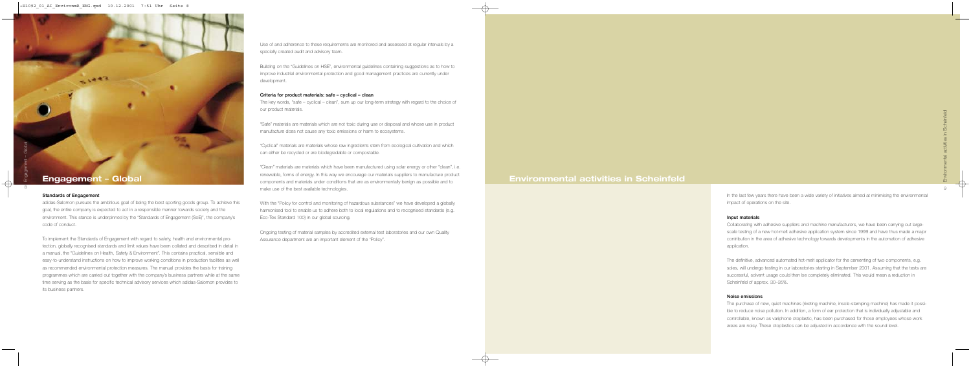In the last few years there have been a wide variety of initiatives aimed at minimising the environmental impact of operations on the site.

#### Input materials

Collaborating with adhesive suppliers and machine manufacturers, we have been carrying out largescale testing of a new hot-melt adhesive application system since 1999 and have thus made a major contribution in the area of adhesive technology towards developments in the automation of adhesive application.

The definitive, advanced automated hot-melt applicator for the cementing of two components, e.g. soles, will undergo testing in our laboratories starting in September 2001. Assuming that the tests are successful, solvent usage could then be completely eliminated. This would mean a reduction in Scheinfeld of approx. 30–35%.

#### Noise emissions

The purchase of new, quiet machines (riveting machine, insole-stamping machine) has made it possible to reduce noise pollution. In addition, a form of ear protection that is individually adjustable and controllable, known as variphone otoplastic, has been purchased for those employees whose work areas are noisy. These otoplastics can be adjusted in accordance with the sound level.

"Clean" materials are materials which have been manufactured using solar energy or other "clean", i.e. renewable, forms of energy. In this way we encourage our materials suppliers to manufacture product components and materials under conditions that are as environmentally benign as possible and to make use of the best available technologies. **Engagement – Global Environmental activities in Scheinfeld** 

8Engagement – Global

 $51443$ 

Use of and adherence to these requirements are monitored and assessed at regular intervals by a specially created audit and advisory team.

Building on the "Guidelines on HSE", environmental guidelines containing suggestions as to how to improve industrial environmental protection and good management practices are currently under development.

#### Criteria for product materials: safe – cyclical – clean

The key words, "safe – cyclical – clean", sum up our long-term strategy with regard to the choice of our product materials.

"Safe" materials are materials which are not toxic during use or disposal and whose use in product manufacture does not cause any toxic emissions or harm to ecosystems.

"Cyclical" materials are materials whose raw ingredients stem from ecological cultivation and which can either be recycled or are biodegradable or compostable.

With the "Policy for control and monitoring of hazardous substances" we have developed a globally harmonised tool to enable us to adhere both to local regulations and to recognised standards (e.g. Eco-Tex Standard 100) in our global sourcing.

Ongoing testing of material samples by accredited external test laboratories and our own Quality Assurance department are an important element of the "Policy".

#### Standards of Engagement

adidas-Salomon pursues the ambitious goal of being the best sporting goods group. To achieve this goal, the entire company is expected to act in a responsible manner towards society and the environment. This stance is underpinned by the "Standards of Engagement (SoE)", the company's code of conduct.

To implement the Standards of Engagement with regard to safety, health and environmental protection, globally recognised standards and limit values have been collated and described in detail in a manual, the "Guidelines on Health, Safety & Environment". This contains practical, sensible and easy-to-understand instructions on how to improve working conditions in production facilities as well as recommended environmental protection measures. The manual provides the basis for training programmes which are carried out together with the company's business partners while at the same time serving as the basis for specific technical advisory services which adidas-Salomon provides to its business partners.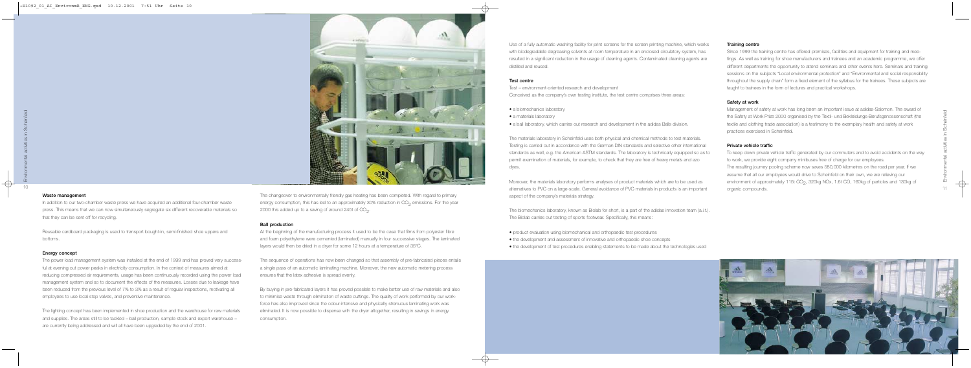#### Training centre

Since 1999 the training centre has offered premises, facilities and equipment for training and meetings. As well as training for shoe manufacturers and trainees and an academic programme, we offer different departments the opportunity to attend seminars and other events here. Seminars and training sessions on the subjects "Local environmental protection" and "Environmental and social responsibility throughout the supply chain" form a fixed element of the syllabus for the trainees. These subjects are taught to trainees in the form of lectures and practical workshops.

### Safety at work

Management of safety at work has long been an important issue at adidas-Salomon. The award of the Safety at Work Prize 2000 organised by the Textil- und Bekleidungs-Berufsgenossenschaft (the textile and clothing trade association) is a testimony to the exemplary health and safety at work practices exercised in Scheinfeld.

### Private vehicle traffic

To keep down private vehicle traffic generated by our commuters and to avoid accidents on the way to work, we provide eight company minibuses free of charge for our employees. The resulting journey pooling scheme now saves 580,000 kilometres on the road per year. If we assume that all our employees would drive to Scheinfeld on their own, we are relieving our environment of approximately 115t CO<sub>2</sub>, 320kg NOx, 1.6t CO, 160kg of particles and 130kg of organic compounds.



The changeover to environmentally friendly gas heating has been completed. With regard to primary energy consumption, this has led to an approximately 30% reduction in  $CO<sub>2</sub>$  emissions. For the year 2000 this added up to a saving of around 245t of  $CO<sub>2</sub>$ .

Use of a fully automatic washing facility for print screens for the screen printing machine, which works with biodegradable degreasing solvents at room temperature in an enclosed circulatory system, has resulted in a significant reduction in the usage of cleaning agents. Contaminated cleaning agents are distilled and reused.

#### Test centre

- Test environment-oriented research and development
- Conceived as the company's own testing institute, the test centre comprises three areas:
- a biomechanics laboratory
- a materials laboratory
- a ball laboratory, which carries out research and development in the adidas Balls division.

The materials laboratory in Scheinfeld uses both physical and chemical methods to test materials. Testing is carried out in accordance with the German DIN standards and selective other international standards as well, e.g. the American ASTM standards. The laboratory is technically equipped so as to permit examination of materials, for example, to check that they are free of heavy metals and azo dyes.

Moreover, the materials laboratory performs analyses of product materials which are to be used as alternatives to PVC on a large-scale. General avoidance of PVC materials in products is an important aspect of the company's materials strategy.

The biomechanics laboratory, known as Biolab for short, is a part of the adidas innovation team (a.i.t.). The Biolab carries out testing of sports footwear. Specifically, this means:

• product evaluation using biomechanical and orthopaedic test procedures • the development and assessment of innovative and orthopaedic shoe concepts • the development of test procedures enabling statements to be made about the technologies used

#### Ball production

At the beginning of the manufacturing process it used to be the case that films from polyester fibre and foam polyethylene were cemented (laminated) manually in four successive stages. The laminated layers would then be dried in a dryer for some 12 hours at a temperature of 35ºC.

The sequence of operations has now been changed so that assembly of pre-fabricated pieces entails a single pass of an automatic laminating machine. Moreover, the new automatic metering process ensures that the latex adhesive is spread evenly.

By buying in pre-fabricated layers it has proved possible to make better use of raw materials and also to minimise waste through elimination of waste cuttings. The quality of work performed by our workforce has also improved since the odour-intensive and physically strenuous laminating work was eliminated. It is now possible to dispense with the dryer altogether, resulting in savings in energy consumption.

#### Waste management

In addition to our two-chamber waste press we have acquired an additional four-chamber waste press. This means that we can now simultaneously segregate six different recoverable materials so that they can be sent off for recycling.

Reusable cardboard packaging is used to transport bought-in, semi-finished shoe uppers and bottoms.

#### Energy concept

The power load management system was installed at the end of 1999 and has proved very successful at evening out power peaks in electricity consumption. In the context of measures aimed at reducing compressed air requirements, usage has been continuously recorded using the power load management system and so to document the effects of the measures. Losses due to leakage have been reduced from the previous level of 7% to 3% as a result of regular inspections, motivating all employees to use local stop valves, and preventive maintenance.

The lighting concept has been implemented in shoe production and the warehouse for raw materials and supplies. The areas still to be tackled – ball production, sample stock and export warehouse – are currently being addressed and will all have been upgraded by the end of 2001.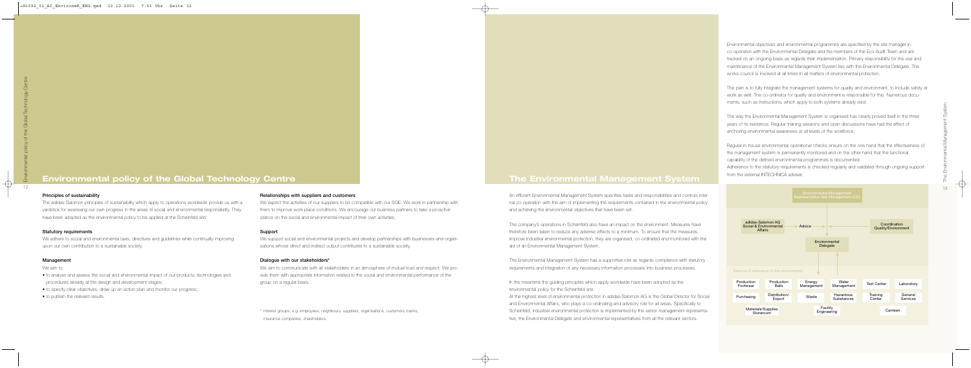

Environmental objectives and environmental programmes are specified by the site manager in co-operation with the Environmental Delegate and the members of the Eco Audit Team and are tracked on an ongoing basis as regards their implementation. Primary responsibility for the use and maintenance of the Environmental Management System lies with the Environmental Delegate. The works council is involved at all times in all matters of environmental protection.

The plan is to fully integrate the management systems for quality and environment, to include safety at work as well. The co-ordinator for quality and environment is responsible for this. Numerous documents, such as instructions, which apply to both systems already exist.

The way the Environmental Management System is organised has clearly proved itself in the three years of its existence. Regular training sessions and open discussions have had the effect of anchoring environmental awareness at all levels of the workforce.

In the meantime the guiding principles which apply worldwide have been adopted as the environmental policy for the Scheinfeld site.

## **Environmental policy of the Global Technology Centre The Environmental Management System**

Regular in-house environmental operational checks ensure on the one hand that the effectiveness of the management system is permanently monitored and on the other hand that the functional capability of the defined environmental programmes is documented. Adherence to the statutory requirements is checked regularly and validated through ongoing support from the external INTECHNICA adviser.

An efficient Environmental Management System specifies tasks and responsibilities and controls internal co-operation with the aim of implementing the requirements contained in the environmental policy and achieving the environmental objectives that have been set.

The company's operations in Scheinfeld also have an impact on the environment. Measures have therefore been taken to reduce any adverse effects to a minimum. To ensure that the measures improve industrial environmental protection, they are organised, co-ordinated and monitored with the aid of an Environmental Management System.

The Environmental Management System has a supportive role as regards compliance with statutory requirements and integration of any necessary information processes into business processes.

At the highest level of environmental protection in adidas-Salomon AG is the Global Director for Social and Environmental Affairs, who plays a co-ordinating and advisory role for all areas. Specifically to Scheinfeld, industrial environmental protection is implemented by the senior management representative, the Environmental Delegate and environmental representatives from all the relevant sectors.

#### Relationships with suppliers and customers

| Support                                                                                              |
|------------------------------------------------------------------------------------------------------|
| stance on the social and environmental impact of their own activities.                               |
| them to improve work place conditions. We encourage our business partners to take a proactive        |
| We expect the activities of our suppliers to be compatible with our SOE. We work in partnership with |

We support social and environmental projects and develop partnerships with businesses and organisations whose direct and indirect output contributes to a sustainable society.

#### Dialogue with our stakeholders\*

We aim to communicate with all stakeholders in an atmosphere of mutual trust and respect. We provide them with appropriate information related to the social and environmental performance of the group on a regular basis.

\* Interest groups, e.g. employees, neighbours, suppliers, organisations, customers, banks, insurance companies, shareholders.

#### Principles of sustainability

The adidas-Salomon principles of sustainability which apply to operations worldwide provide us with a yardstick for assessing our own progress in the areas of social and environmental responsibility. They have been adopted as the environmental policy to be applied at the Scheinfeld site:

#### Statutory requirements

We adhere to social and environmental laws, directives and guidelines while continually improving upon our own contribution to a sustainable society.

#### Management

We aim to:

- to analyse and assess the social and environmental impact of our products, technologies and procedures already at the design and development stages;
- to specify clear objectives, draw up an action plan and monitor our progress;
- to publish the relevant results.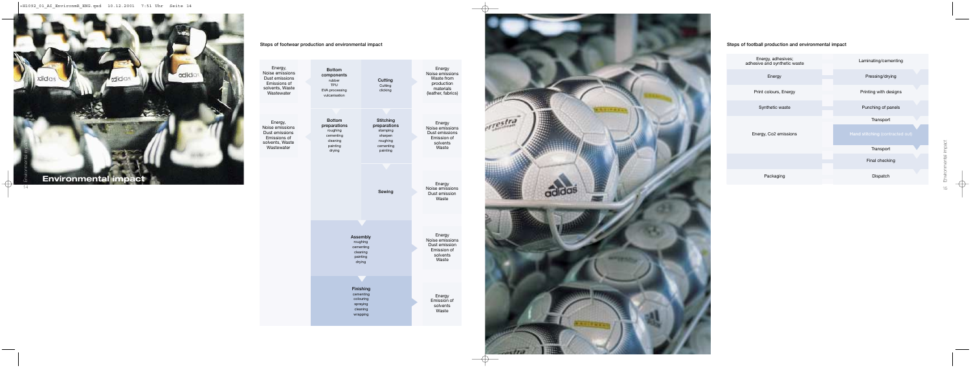## Steps of football production and environmental impact



Steps of footwear production and environmental impact



| Energy,<br>Noise emissions<br>Dust emissions<br>Emissions of<br>solvents, Waste<br>Wastewater | <b>Bottom</b><br>components<br>rubber<br><b>TPU</b><br><b>EVA</b> processing<br>vulcanisation | Cutting<br>Cutting<br>clicking                                                               | Energy<br>Noise emissions<br>Waste from<br>production<br>materials<br>(leather, fabrics) |
|-----------------------------------------------------------------------------------------------|-----------------------------------------------------------------------------------------------|----------------------------------------------------------------------------------------------|------------------------------------------------------------------------------------------|
|                                                                                               |                                                                                               |                                                                                              |                                                                                          |
| Energy,<br>Noise emissions<br>Dust emissions<br>Emissions of<br>solvents, Waste<br>Wastewater | <b>Bottom</b><br>preparations<br>roughing<br>cementing<br>cleaning<br>painting<br>drying      | <b>Stitching</b><br>preparations<br>stamping<br>sharpen<br>roughing<br>cementing<br>painting | Energy<br>Noise emissions<br>Dust emissions<br>Emission of<br>solvents<br>Waste          |
|                                                                                               |                                                                                               |                                                                                              |                                                                                          |
|                                                                                               |                                                                                               | Sewing                                                                                       | Energy<br>Noise emissions<br>Dust emission<br>Waste                                      |
|                                                                                               |                                                                                               |                                                                                              |                                                                                          |
|                                                                                               | Assembly<br>roughing<br>cementing<br>cleaning<br>painting<br>drying                           |                                                                                              | Energy<br>Noise emissions<br>Dust emission<br>Emission of<br>solvents<br>Waste           |
|                                                                                               |                                                                                               |                                                                                              |                                                                                          |
|                                                                                               | Finishing<br>cementing<br>colouring<br>spraying<br>cleaning<br>wrapping                       |                                                                                              | Energy<br>Emission of<br>solvents<br>Waste                                               |

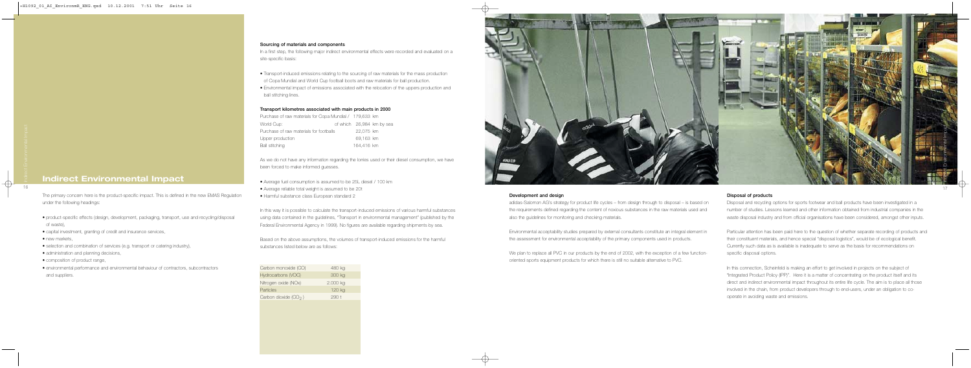

#### Disposal of products

Disposal and recycling options for sports footwear and ball products have been investigated in a number of studies. Lessons learned and other information obtained from industrial companies in the waste disposal industry and from official organisations have been considered, amongst other inputs.

Particular attention has been paid here to the question of whether separate recording of products and their constituent materials, and hence special "disposal logistics", would be of ecological benefit. Currently such data as is available is inadequate to serve as the basis for recommendations on specific disposal options.

In this connection, Scheinfeld is making an effort to get involved in projects on the subject of "Integrated Product Policy (IPP)". Here it is a matter of concentrating on the product itself and its direct and indirect environmental impact throughout its entire life cycle. The aim is to place all those involved in the chain, from product developers through to end-users, under an obligation to cooperate in avoiding waste and emissions.

#### Development and design

adidas-Salomon AG's strategy for product life cycles – from design through to disposal – is based on the requirements defined regarding the content of noxious substances in the raw materials used and also the guidelines for monitoring and checking materials.

In a first step, the following major indirect environmental effects were recorded and evaluated on a site-specific basis:

> Environmental acceptability studies prepared by external consultants constitute an integral element in the assessment for environmental acceptability of the primary components used in products.

> We plan to replace all PVC in our products by the end of 2002, with the exception of a few functionoriented sports equipment products for which there is still no suitable alternative to PVC.

The primary concern here is the product-specific impact. This is defined in the new EMAS Regulation under the following headings:

- product-specific effects (design, development, packaging, transport, use and recycling/disposal of waste),
- capital investment, granting of credit and insurance services,
- new markets,
- selection and combination of services (e.g. transport or catering industry),
- administration and planning decisions,
- composition of product range,
- environmental performance and environmental behaviour of contractors, subcontractors and suppliers.

## **Indirect Environmental Impact**

#### Sourcing of materials and components

- Transport-induced emissions relating to the sourcing of raw materials for the mass production of Copa Mundial and World Cup football boots and raw materials for ball production.
- Environmental impact of emissions associated with the relocation of the uppers production and ball stitching lines.

#### Transport kilometres associated with main products in 2000

| Purchase of raw materials for Copa Mundial / 179,633 km |            |                           |
|---------------------------------------------------------|------------|---------------------------|
| World Cup:                                              |            | of which 26,984 km by sea |
| Purchase of raw materials for footballs                 | 22.075 km  |                           |
| Upper production                                        | 69.163 km  |                           |
| <b>Ball stitching</b>                                   | 164.416 km |                           |

As we do not have any information regarding the lorries used or their diesel consumption, we have been forced to make informed guesses.

- Average fuel consumption is assumed to be 25L diesel / 100 km
- Average reliable total weight is assumed to be 20t
- Harmful substance class European standard 2

In this way it is possible to calculate the transport-induced emissions of various harmful substances using data contained in the guidelines, "Transport in environmental management" (published by the Federal Environmental Agency in 1999). No figures are available regarding shipments by sea.

Based on the above assumptions, the volumes of transport-induced emissions for the harmful substances listed below are as follows:

| Carbon monoxide (CO)   | 480 kg           |
|------------------------|------------------|
| Hydrocarbons (VOC)     | 300 kg           |
| Nitrogen oxide (NOx)   | 2.000 kg         |
| Particles              | 120 kg           |
| Carbon dioxide $(CO2)$ | 290 <sub>1</sub> |
|                        |                  |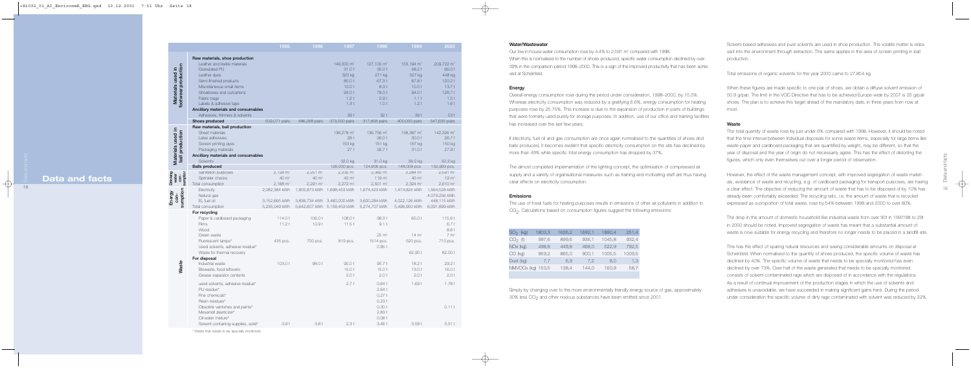Drinking

Energy

|                      |                                              | 1995                | 1996                | 1997                                | 1998                                | 1999                                | 2000                                |
|----------------------|----------------------------------------------|---------------------|---------------------|-------------------------------------|-------------------------------------|-------------------------------------|-------------------------------------|
|                      | Raw materials, shoe production               |                     |                     |                                     |                                     |                                     |                                     |
|                      | Leather and textile materials                |                     |                     | 149,000 m <sup>2</sup>              | 127,100 m <sup>2</sup>              | 153,194 m <sup>2</sup>              | 209,722 m <sup>2</sup>              |
| footwear production  | <b>Granulated PU</b>                         |                     |                     | 31.0t                               | 35.0t                               | 48.2 t                              | 66.0t                               |
|                      | Leather dyes                                 |                     |                     | 323 kg                              | 271 kg                              | 327 kg                              | 448 kg                              |
|                      | Semi-finished products                       |                     |                     | 80.0t                               | 67.3t                               | 87.8t                               | 120.2 t                             |
|                      | Miscellaneous small items                    |                     |                     | 10.0t                               | 8.3 t                               | 10.0t                               | 13.7t                               |
|                      | Shoeboxes and outcartons                     |                     |                     | 93.0 t                              | 78.0t                               | 94.0 t                              | 128.7t                              |
| Materials used in    | Fabric bags                                  |                     |                     | 1.2t                                | 0.9t                                | 1.1t                                | 1.5t                                |
|                      | Labels & adhesive tape                       |                     |                     | 1.3t                                | 1.0t                                | 1.2t                                | 1.6t                                |
|                      | Ancillary materials and consumables          |                     |                     |                                     |                                     |                                     |                                     |
|                      | Adhesives, thinners & solvents               |                     |                     | 39 t                                | 32t                                 | 39 t                                | 53 t                                |
|                      | Shoes produced                               | 509,071 pairs       | 486,268 pairs       | 373,000 pairs                       | 317,858 pairs                       | 400,000 pairs                       | 547,635 pairs                       |
|                      | Raw materials, ball production               |                     |                     |                                     |                                     |                                     |                                     |
|                      | Sheet materials                              |                     |                     | 138,278 m <sup>2</sup>              | 136,756 m <sup>2</sup>              | 158,387 m <sup>2</sup>              | 142,326 m <sup>2</sup>              |
|                      | Latex adhesives                              |                     |                     | 28 t                                | 26.0t                               | 30.0 t                              | 26.7 t                              |
| Materials used in    | Screen printing dyes                         |                     |                     | 153 kg                              | 151 kg                              | 167 kg                              | 150 kg                              |
|                      | Packaging materials                          |                     |                     | 27t                                 | 26.7t                               | 31.0t                               | 27.9t                               |
| ball production      | Ancillary materials and consumables          |                     |                     |                                     |                                     |                                     |                                     |
|                      | Solvents                                     |                     |                     | 32.0 kg                             | 31.0 kg                             | 36.0 kg                             | 32.3 kg                             |
|                      | <b>Balls produced</b><br>Sanitation purposes | $2,128 \text{ m}^3$ | $2,251 \text{ m}^3$ | 126,000 pcs.<br>$2,232 \text{ m}^3$ | 124,606 pcs.<br>$2,382 \text{ m}^3$ | 148,009 pcs.<br>$2,284 \text{ m}^3$ | 132,993 pcs.<br>$2,591 \text{ m}^3$ |
| water<br>con-        | Sprinkler checks                             | 40 m <sup>3</sup>   | 40 m <sup>3</sup>   | 40 m <sup>3</sup>                   | 119 m <sup>3</sup>                  | 40 m <sup>3</sup>                   | 19 m <sup>3</sup>                   |
|                      | Total consumption                            | $2,168 \text{ m}^3$ | $2,291 \text{ m}^3$ | $2,272 \text{ m}^3$                 | $2,501 \text{ m}^3$                 | $2,324 \text{ m}^3$                 | $2,610 \text{ m}^3$                 |
| sumption<br>sumption | Electricity                                  | 2,082,384 kWh       |                     | 1,805,873 kWh  1,698,453 kWh        | 1,674,423 kWh                       | 1,474,824 kWh                       | 1,564,528 kWh                       |
|                      | Natural gas                                  |                     |                     |                                     |                                     |                                     | 4.079.256 kWh                       |
| con-                 | EL fuel oil                                  | 3,152,665 kWh       |                     | 3,836,734 kWh 3,460,000 kWh         | 3,600,284 kWh                       | 4,022,126 kWh                       | 448,115 kWh                         |
|                      | Total consumption                            | 5,235,049 kWh       |                     | 5,642,607 kWh 5,158,453 kWh         | 5,274,707 kWh                       | 5,496,950 kWh                       | 6,091,899 kWh                       |
|                      | For recycling                                |                     |                     |                                     |                                     |                                     |                                     |
|                      | Paper & cardboard packaging                  | 114.0t              | 106.0 t             | 108.0 t                             | 98.3t                               | 65.0 t                              | 115.6 t                             |
|                      | Films                                        | 11.2t               | 10.9t               | 11.5t                               | 9.1t                                |                                     | 6.7t                                |
|                      | Wood                                         |                     |                     |                                     |                                     |                                     | 8.6 t                               |
|                      | Green waste                                  |                     |                     |                                     | $25 \text{ m}^3$                    | $14 \text{ m}^3$                    | 7 m <sup>3</sup>                    |
|                      | Fluorescent lamps*                           | 435 pcs.            | 700 pcs.            | 819 pcs.                            | 1514 pcs.                           | 520 pcs.                            | 710 pcs.                            |
|                      | Used solvents, adhesive residue*             |                     |                     |                                     | 0.95t                               |                                     |                                     |
|                      | Waste for thermal recovery                   |                     |                     |                                     |                                     | 62.90 t                             | 82.00 t                             |
|                      | For disposal                                 |                     |                     |                                     |                                     |                                     |                                     |
| Waste                | Industrial waste                             | 103.0 t             | 98.0t               | 90.0 t                              | 95.7t                               | 18.2t                               | 29.2 t                              |
|                      | Biowaste, food leftovers                     |                     |                     | 15.0t                               | 15.0t                               | 13.0t                               | 16.0 t                              |
|                      | Grease separator contents                    |                     |                     | 2.0t                                | 2.0t                                | 2.0t                                | 2.0t                                |
|                      | used solvents, adhesive residue*             |                     |                     | 2.7t                                | 0.64t                               | 1.69t                               | 1.78t                               |
|                      | PU residue*                                  |                     |                     |                                     | 2.64t                               |                                     |                                     |
|                      | Fine chemicals*                              |                     |                     |                                     | 0.27t                               |                                     |                                     |
|                      | Resin residues*                              |                     |                     |                                     | 0.23t                               |                                     |                                     |
|                      | Obsolete varnishes and paints*               |                     |                     |                                     | 0.30t                               |                                     | 0.11t                               |
|                      | Mesamoll plasticizer*                        |                     |                     |                                     | 2.83t                               |                                     |                                     |
|                      | Oil-water mixture*                           |                     |                     |                                     | 0.08t                               |                                     |                                     |
|                      | Solvent-containing supplies, solid*          | 3.9 t               | 3.8 t               | 2.3t                                | 3.46t                               | 3.58t                               | 3.31t                               |

\* Waste that needs to be specially monitored

Solvent-based adhesives and pure solvents are used in shoe production. The volatile matter is released into the environment through extraction. The same applies in the area of screen printing in ball production.

Our low in-house water consumption rose by 4.4% to 2,591 m<sup>3</sup> compared with 1998. When this is normalised to the number of shoes produced, specific water consumption declined by over 39% in the comparison period 1998–2000. This is a sign of the improved productivity that has been achieved at Scheinfeld.

Total emissions of organic solvents for the year 2000 came to 27,854 kg.

When these figures are made specific to one pair of shoes, we obtain a diffuse solvent emission of 50.9 g/pair. The limit in the VOC Directive that has to be achieved Europe-wide by 2007 is 25 g/pair shoes. The plan is to achieve this target ahead of the mandatory date, in three years from now at most.

#### Waste

The use of fossil fuels for heating purposes results in emissions of other air pollutants in addition to CO<sub>2</sub>. Calculations based on consumption figures suggest the following emissions:

The total quantity of waste rose by just under 6% compared with 1998. However, it should be noted that the time interval between individual disposals for some waste items, especially for large items like waste paper and cardboard packaging that are quantified by weight, may be different, so that the year of disposal and the year of origin do not necessarily agree. This has the effect of distorting the figures, which only even themselves out over a longer period of observation.

Simply by changing over to the more environmentally friendly energy source of gas, approximately 30% less CO<sub>2</sub> and other noxious substances have been emitted since 2001.

However, the effect of the waste management concept, with improved segregation of waste materials, avoidance of waste and recycling, e.g. of cardboard packaging for transport purposes, are having a clear effect. The objective of reducing the amount of waste that has to be disposed of by 10% has already been comfortably exceeded. The recycling ratio, i.e. the amount of waste that is recycled expressed as a proportion of total waste, rose by 54% between 1998 and 2000 to over 80%.

The drop in the amount of domestic household-like industrial waste from over 90t in 1997/98 to 29t in 2000 should be noted. Improved segregation of waste has meant that a substantial amount of waste is now suitable for energy recycling and therefore no longer needs to be placed in a landfill site.

This has the effect of sparing natural resources and saving considerable amounts on disposal at Scheinfeld. When normalised to the quantity of shoes produced, the specific volume of waste has declined by 40%. The specific volume of waste that needs to be specially monitored has even declined by over 73%. Over half of the waste generated that needs to be specially monitored consists of solvent-contaminated rags which are disposed of in accordance with the regulations. As a result of continual improvement of the production stages in which the use of solvents and adhesives is unavoidable, we have succeeded in making significant gains here. During the period under consideration the specific volume of dirty rags contaminated with solvent was reduced by 32%.

| ۱<br>۶ |
|--------|
|        |

# **Data and facts**

#### Water/Wastewater

### Energy

Overall energy consumption rose during the period under consideration, 1998–2000, by 15.5%. Whereas electricity consumption was reduced by a gratifying 6.6%, energy consumption for heating purposes rose by 25.75%. This increase is due to the expansion of production in parts of buildings that were formerly used purely for storage purposes. In addition, use of our office and training facilities has increased over the last few years.

If electricity, fuel oil and gas consumption are once again normalised to the quantities of shoes and balls produced, it becomes evident that specific electricity consumption on the site has declined by more than 49% while specific total energy consumption has dropped by 37%.

The almost completed implementation of the lighting concept, the optimisation of compressed air supply and a variety of organisational measures such as training and motivating staff are thus having clear effects on electricity consumption.

#### Emissions

| $SO2$ (kg)  | 1803,3 | 1626,2 | 1692,1 | 1890,4 | 251,4  |
|-------------|--------|--------|--------|--------|--------|
| $CO2$ (t)   | 997,6  | 899,6  | 936,1  | 1045,8 | 932,4  |
| NOx (kg)    | 498,8  | 449,8  | 468,0  | 522,9  | 792,5  |
| CO (kg)     | 959,2  | 865,0  | 900,1  | 1005,5 | 1009,5 |
| Dust (kg)   | 7.7    | 6.9    | 7.2    | 8.0    | 1,3    |
| NMVOCs (kg) | 153,5  | 138,4  | 144,0  | 160,9  | 58,7   |
|             |        |        |        |        |        |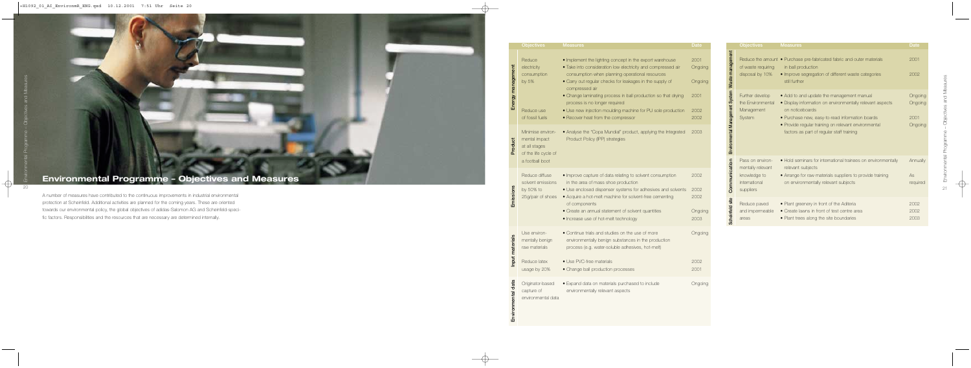Waste management

Environmental Management System

**Communication** 

Scheinfeld site

| <b>Objectives</b>                                                                   | <b>Measures</b>                                                                                                                                                                                                                                                                   | <b>Date</b>                           |
|-------------------------------------------------------------------------------------|-----------------------------------------------------------------------------------------------------------------------------------------------------------------------------------------------------------------------------------------------------------------------------------|---------------------------------------|
| of waste requiring<br>disposal by 10%                                               | Reduce the amount . Purchase pre-fabricated fabric and outer materials<br>in ball production<br>• Improve segregation of different waste categories<br>still further                                                                                                              | 2001<br>2002                          |
| Further develop<br>the Environmental<br>Management<br>System                        | • Add to and update the management manual<br>• Display information on environmentally relevant aspects<br>on noticeboards<br>• Purchase new, easy-to-read information boards<br>• Provide regular training on relevant environmental<br>factors as part of regular staff training | Ongoing<br>Ongoing<br>2001<br>Ongoing |
| Pass on environ-<br>mentally relevant<br>knowledge to<br>international<br>suppliers | • Hold seminars for international trainees on environmentally<br>relevant subjects<br>• Arrange for raw materials suppliers to provide training<br>on environmentally relevant subjects                                                                                           | Annually<br>As<br>required            |
| Reduce paved<br>and impermeable<br>areas                                            | • Plant greenery in front of the Aditeria<br>• Create lawns in front of test centre area<br>• Plant trees along the site boundaries                                                                                                                                               | 2002<br>2002<br>2003                  |

A number of measures have contributed to the continuous improvements in industrial environmental protection at Scheinfeld. Additional activities are planned for the coming years. These are oriented towards our environmental policy, the global objectives of adidas-Salomon AG and Scheinfeld-specific factors. Responsibilities and the resources that are necessary are determined internally.

# **Environmental Programme – Objectives and Measures**

| <b>Objectives</b>                                                                              | <b>Measures</b>                                                                                                                                                                                                                                                                                                                                                                                                                                                  | <b>Date</b>                                        |
|------------------------------------------------------------------------------------------------|------------------------------------------------------------------------------------------------------------------------------------------------------------------------------------------------------------------------------------------------------------------------------------------------------------------------------------------------------------------------------------------------------------------------------------------------------------------|----------------------------------------------------|
| Reduce<br>electricity<br>consumption<br>by $5%$<br>Reduce use<br>of fossil fuels               | • Implement the lighting concept in the export warehouse<br>• Take into consideration low electricity and compressed air<br>consumption when planning operational resources<br>• Carry out regular checks for leakages in the supply of<br>compressed air<br>• Change laminating process in ball production so that drying<br>process is no longer required<br>• Use new injection moulding machine for PU sole production<br>• Recover heat from the compressor | 2001<br>Ongoing<br>Ongoing<br>2001<br>2002<br>2002 |
| Minimise environ-<br>mental impact<br>at all stages<br>of the life cycle of<br>a football boot | • Analyse the "Copa Mundial" product, applying the Integrated<br>Product Policy (IPP) strategies                                                                                                                                                                                                                                                                                                                                                                 | 2003                                               |
| Reduce diffuse<br>solvent emissions<br>by 50% to<br>25g/pair of shoes                          | . Improve capture of data relating to solvent consumption<br>in the area of mass shoe production<br>• Use enclosed dispenser systems for adhesives and solvents<br>• Acquire a hot-melt machine for solvent-free cementing<br>of components<br>• Create an annual statement of solvent quantities<br>• Increase use of hot-melt technology                                                                                                                       | 2002<br>2002<br>2002<br>Ongoing<br>2003            |
| Use environ-<br>mentally benign<br>raw materials                                               | • Continue trials and studies on the use of more<br>environmentally benign substances in the production<br>process (e.g. water-soluble adhesives, hot-melt)                                                                                                                                                                                                                                                                                                      | Ongoing                                            |
| Reduce latex<br>usage by 20%                                                                   | • Use PVC-free materials<br>• Change ball production processes                                                                                                                                                                                                                                                                                                                                                                                                   | 2002<br>2001                                       |
| Originator-based<br>capture of<br>environmental data                                           | • Expand data on materials purchased to include<br>environmentally relevant aspects                                                                                                                                                                                                                                                                                                                                                                              | Ongoing                                            |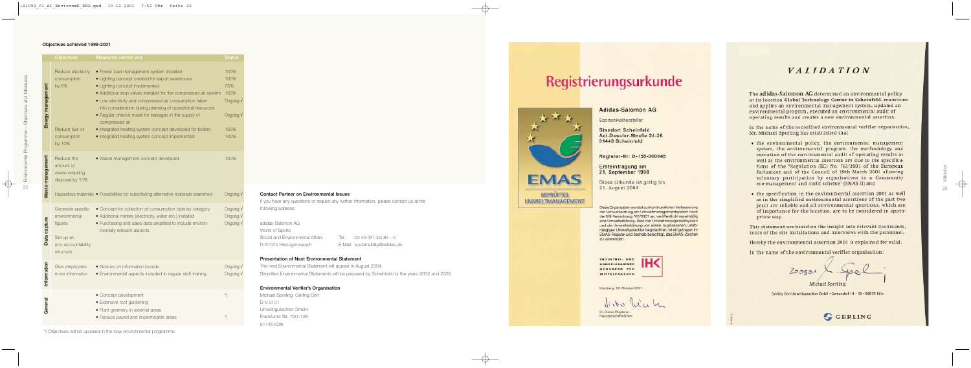22Environmental Programme – Objectives and Measures 22

#### Contact Partner on Environmental Issues

If you have any questions or require any further information, please contact us at the following address:

| adidas-Salomon AG                |                                  |
|----------------------------------|----------------------------------|
| World of Sports                  |                                  |
| Social and Environmental Affairs | Tel.: 00 49 (91 32) 84 - 0       |
| D-91074 Herzogenaurach           | E-Mail: sustainability@adidas.de |

#### Presentation of Next Environmental Statement

The next Environmental Statement will appear in August 2004. Simplified Environmental Statements will be prepared by Scheinfeld for the years 2002 and 2003.

#### Environmental Verifier's Organisation

Michael Sperling Gerling Cert D-V-0101 Umweltgutachter GmbH Frankfurter Str. 720–726 51145 Köln

#### Objectives achieved 1998-2001

| <b>Objectives</b>                                                                             | <b>Measures carried out</b>                                                                                                                                                                                                                                                                                                                                                                                                                                                                                         | <b>Status</b>                                                                       |
|-----------------------------------------------------------------------------------------------|---------------------------------------------------------------------------------------------------------------------------------------------------------------------------------------------------------------------------------------------------------------------------------------------------------------------------------------------------------------------------------------------------------------------------------------------------------------------------------------------------------------------|-------------------------------------------------------------------------------------|
| Reduce electricity<br>consumption<br>by 5%<br>Reduce fuel oil<br>consumption<br>by 10%        | · Power load management system installed<br>• Lighting concept created for export warehouse<br>• Lighting concept implemented<br>• Additional stop valves installed for the compressed air system<br>• Low electricity and compressed air consumption taken<br>into consideration during planning of operational resources<br>. Regular checks made for leakages in the supply of<br>compressed air<br>• Integrated heating system concept developed for boilers<br>· Integrated heating system concept implemented | 100%<br>100%<br>75%<br>100%<br>Ongoing V<br>Ongoing V<br>100%<br>100%               |
| Reduce the<br>amount of<br>waste requiring<br>disposal by 10%                                 | · Waste management concept developed                                                                                                                                                                                                                                                                                                                                                                                                                                                                                | 100%<br>Ongoing V                                                                   |
| Generate specific<br>environmental<br>figures<br>Set up an<br>eco-accountability<br>structure | • Concept for collection of consumption data by category<br>· Additional meters (electricity, water etc.) installed<br>· Purchasing and sales data amplified to include environ-<br>mentally relevant aspects                                                                                                                                                                                                                                                                                                       | Ongoing V<br>Ongoing V<br>Ongoing V                                                 |
| Give employees<br>more information                                                            | • Notices on information boards<br>· Environmental aspects included in regular staff training                                                                                                                                                                                                                                                                                                                                                                                                                       | Ongoing V<br>Ongoing V                                                              |
|                                                                                               | • Concept development<br>• Extensive roof gardening<br>· Plant greenery in external areas<br>· Reduce paved and impermeable areas                                                                                                                                                                                                                                                                                                                                                                                   | $^{\star})$<br>$^\star)$                                                            |
|                                                                                               |                                                                                                                                                                                                                                                                                                                                                                                                                                                                                                                     | Hazardous materials . Possibilities for substituting alternative materials examined |

\*) Objectives will be updated in the new environmental programme.

# Registrierungsurkunde



**GEPRÜFTES** UMWELTMANAGEMENT

## Adidas-Salomon AG

Sportartikelhersteller

**Standort Scheinfeld** Adi-Dassler-Straße 24-26 91443 Scheinfeld

Register-Nr: D-158-000048

Ersteintragung am 21. September 1998

Diese Urkunde ist gültig bis 31. August 2004

Diese Organisation weridet zur kontinuierlichen Verbesserung der Umweltleistung ein Umweltmanagementsystem nach der EG-Verordnung 761/2001 an, veröffentlicht regelmäßig eine Umwelterklärung, lässt das Umweltmanagamentsystem und die Umwelterklärung von einem zugelassanen, unabhängigen Umweltgutachter begutachten, ist eingetragen im EMAS-Register und deshalb berechtigt, das EMAS-Zeichen zu verwenden.

**INDUSTRIE: UND HANDELSKAMMER** NURNBERG FUR **MITTELFRANKEN** 



Nümberg, 18. Oktober 2001

Dr. Dieter Restener Hauptgeschäftsführer

# VALIDATION

The adidas-Salomon AG determined an environmental policy at its location Global Technology Center in Scheinfeld, maintains and applies an environmental management system, updated an environmental program, executed an environmental audit of operating results and creates a new environmental assertion.

In the name of the accredited environmental verifier organisation, Mr. Michael Sperling has established that

- the environmental policy, the environmental management system, the environmental program, the methodology and execution of the environmental audit of operating results as well as the environmental assertion are due to the specifications of the 'Regulation (EC) No. 761/2001 of the European Parlament and of the Council of 19th March 2001 allowing voluntary participation by organisations in a Community eco-management and audit scheme' (EMAS II) and
- · the specification in the environmental assertion 2001 as well as in the simplified environmental assertions of the past two years are reliable and all environmental questions, which are of importance for the location, are to be considered in appropriate way.

This statement are based on the insight into relevant documents, tours of the site installations and interviews with the personnel.

Hereby the environmental assertion 2001 is explained for valid.

In the name of the environmental verifier organisation:

Gerling Cert Umweltgatachter GrobH . Gerearnhaf 14 - 10 - 50670 Ksin